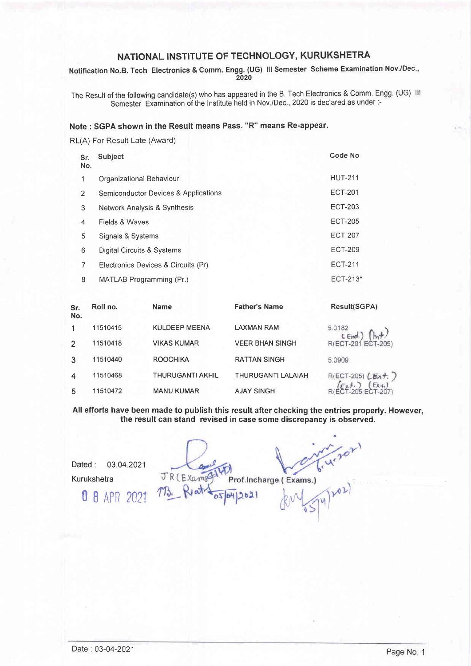Notification No.B. Tech Electronics & Comm. Engg. (UG) lll Semester Scheme Examination Nov./Dec., 2020

The Result of the following candidate(s) who has appeared in the B. Tech Electronics & Comm. Engg. (UG) lll Semester Examination of the Institute held in Nov./Dec., 2020 is declared as under:-

## Note : SGPA shown in the Result means Pass. "R" means Re-appear.

RL(A) For Result Late (Award)

| Sr.<br>No. | Subject                              | Code No        |
|------------|--------------------------------------|----------------|
| 1          | Organizational Behaviour             | <b>HUT-211</b> |
| 2          | Semiconductor Devices & Applications | <b>ECT-201</b> |
| 3          | Network Analysis & Synthesis         | <b>ECT-203</b> |
| 4          | Fields & Waves                       | <b>ECT-205</b> |
| 5          | Signals & Systems                    | <b>ECT-207</b> |
| 6          | Digital Circuits & Systems           | <b>ECT-209</b> |
|            | Electronics Devices & Circuits (Pr)  | ECT-211        |
| 8          | MATLAB Programming (Pr.)             | ECT-213*       |

| Sr.<br>No. | Roll no. | <b>Name</b>             | <b>Father's Name</b>   | Result(SGPA)           |
|------------|----------|-------------------------|------------------------|------------------------|
|            | 11510415 | <b>KULDEEP MEENA</b>    | LAXMAN RAM             | 5.0182<br>LEnd.        |
| 2          | 11510418 | <b>VIKAS KUMAR</b>      | <b>VEER BHAN SINGH</b> | R(ECT-201, ECT-205)    |
| 3          | 11510440 | <b>ROOCHIKA</b>         | <b>RATTAN SINGH</b>    | 5.0909                 |
|            | 11510468 | <b>THURUGANTI AKHIL</b> | THURUGANTI LALAIAH     | $R(ECT-205)$ $LEx + 7$ |
| 5          | 11510472 | <b>MANU KUMAR</b>       | <b>AJAY SINGH</b>      |                        |

All efforts have been made to publish this result after checking the entries properly. However, the result can stand revised in case some discrepancy is observed.

Dated : 03.04.2021 Kurukshetra

**0 8 APR 202** 

Prof. Incharge (Exams.) JR (Example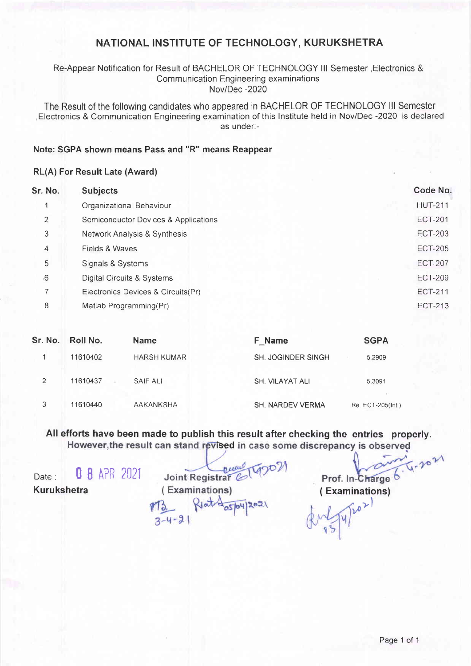### Re-Appear Notification for Result of BACHELOR OF TECHNOLOGY III Semester, Electronics & Communication Engineering examinations Nov/Dec -2020

The Result of the following candidates who appeared in BACHELOR OF TECHNOLOGY lll Semester ,Electronics & Communication Engineering examination of this lnstitute held in Nov/Dec -2020 is declared as under:-

#### Note: SGPA shown means Pass and "R" means Reappear

#### RL(A) For Result Late (Award)

| Sr. No. | <b>Subjects</b>                      | Code No.       |
|---------|--------------------------------------|----------------|
|         | Organizational Behaviour             | <b>HUT-211</b> |
| 2       | Semiconductor Devices & Applications | <b>ECT-201</b> |
| 3       | Network Analysis & Synthesis         | <b>ECT-203</b> |
| 4       | Fields & Waves                       | <b>ECT-205</b> |
| 5       | Signals & Systems                    | <b>ECT-207</b> |
| .6      | Digital Circuits & Systems           | <b>ECT-209</b> |
| 7       | Electronics Devices & Circuits(Pr)   | <b>ECT-211</b> |
| 8       | Matlab Programming(Pr)               | <b>ECT-213</b> |
|         |                                      |                |

| Sr. No. | Roll No. | <b>Name</b>        | F Name                    | <b>SGPA</b>      |
|---------|----------|--------------------|---------------------------|------------------|
|         | 11610402 | <b>HARSH KUMAR</b> | <b>SH. JOGINDER SINGH</b> | 5.2909           |
| 2       | 11610437 | SAIF ALI           | <b>SH. VILAYAT ALI</b>    | 5.3091           |
| 3       | 11610440 | <b>AAKANKSHA</b>   | <b>SH. NARDEV VERMA</b>   | Re. ECT-205(Int) |

All efforts have been made to publish this result after checking the entries properly. However, the result can stand revised in case some discrepancy is observed

Date: 0 8 APR 2021

Date: 0 8 APR 2021 Joint Registrar 6 1990)<br>Kurukshetra ( Examinations) Prof. In-Charge 6 4-2021<br>TB. Right Agrinations ( Examinations) Joint Registrar

 $3 - 4 - 21$ 

 $\sqrt{v^2}$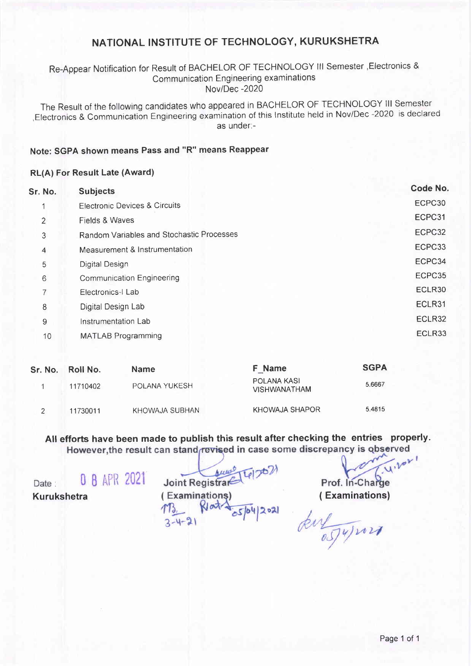## Re-Appear Notification for Result of BACHELOR OF TECHNOLOGY lll Semester ,Electronics & Communication Engineering examinations Nov/Dec -2020

The Result of the following candidates who appeared in BACHELOR OF TECHNoLoGY lll Semester ,Electronics & Communication Engineering examination of this lnstitute held in Nov/Dec -2020 is declared as under:-

#### Note: SGPA shown means Pass and "R" means Reappear

#### RL(A) For Result Late (Award)

| Sr. No.        | <b>Subjects</b>                           | Code No. |
|----------------|-------------------------------------------|----------|
|                | <b>Electronic Devices &amp; Circuits</b>  | ECPC30   |
| $\overline{2}$ | Fields & Waves                            | ECPC31   |
| 3              | Random Variables and Stochastic Processes | ECPC32   |
| $\overline{4}$ | Measurement & Instrumentation             | ECPC33   |
| 5              | Digital Design                            | ECPC34   |
| 6              | <b>Communication Engineering</b>          | ECPC35   |
| 7              | Electronics-I Lab                         | ECLR30   |
| 8              | Digital Design Lab                        | ECLR31   |
| 9              | Instrumentation Lab                       | ECLR32   |
| 10             | <b>MATLAB Programming</b>                 | ECLR33   |
|                |                                           |          |

| Sr. No. | Roll No. | <b>Name</b>          | <b>F</b> Name                      | <b>SGPA</b> |
|---------|----------|----------------------|------------------------------------|-------------|
|         | 11710402 | <b>POLANA YUKESH</b> | POLANA KASI<br><b>VISHWANATHAM</b> | 5.6667      |
|         | 11730011 | KHOWAJA SUBHAN       | KHOWAJA SHAPOR                     | 5.4815      |

All efforts have been made to publish this result after checking the entries properly.<br>However, the result can stand revised in case some discrepancy is observed

0 B APR 2021 Date : Kurukshetra

 $Ierct$ Joint Registrare (Examinations)  $173.$  Ret  $\frac{1}{\sqrt{5}}$  $2 - 4 - 21$ 

 $\sqrt{1.101}$ Prof. In-Charge

( Examinations)

kulynn